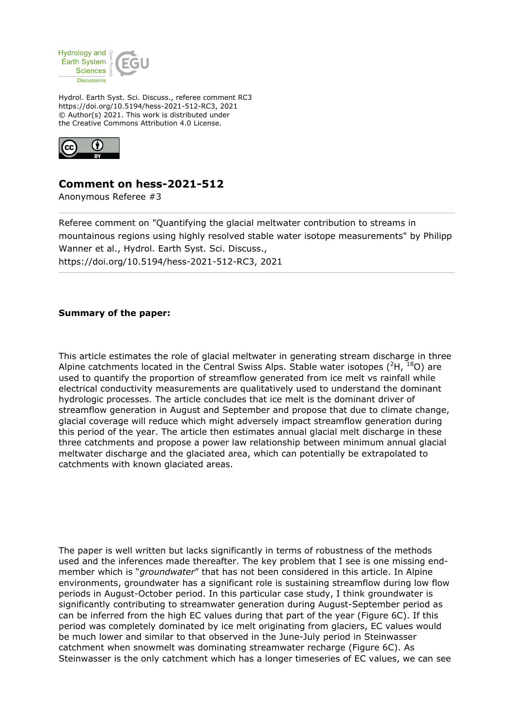

Hydrol. Earth Syst. Sci. Discuss., referee comment RC3 https://doi.org/10.5194/hess-2021-512-RC3, 2021 © Author(s) 2021. This work is distributed under the Creative Commons Attribution 4.0 License.



# **Comment on hess-2021-512**

Anonymous Referee #3

Referee comment on "Quantifying the glacial meltwater contribution to streams in mountainous regions using highly resolved stable water isotope measurements" by Philipp Wanner et al., Hydrol. Earth Syst. Sci. Discuss., https://doi.org/10.5194/hess-2021-512-RC3, 2021

## **Summary of the paper:**

This article estimates the role of glacial meltwater in generating stream discharge in three Alpine catchments located in the Central Swiss Alps. Stable water isotopes  $({}^{2}H, {}^{18}O)$  are used to quantify the proportion of streamflow generated from ice melt vs rainfall while electrical conductivity measurements are qualitatively used to understand the dominant hydrologic processes. The article concludes that ice melt is the dominant driver of streamflow generation in August and September and propose that due to climate change, glacial coverage will reduce which might adversely impact streamflow generation during this period of the year. The article then estimates annual glacial melt discharge in these three catchments and propose a power law relationship between minimum annual glacial meltwater discharge and the glaciated area, which can potentially be extrapolated to catchments with known glaciated areas.

The paper is well written but lacks significantly in terms of robustness of the methods used and the inferences made thereafter. The key problem that I see is one missing endmember which is "*groundwater*" that has not been considered in this article. In Alpine environments, groundwater has a significant role is sustaining streamflow during low flow periods in August-October period. In this particular case study, I think groundwater is significantly contributing to streamwater generation during August-September period as can be inferred from the high EC values during that part of the year (Figure 6C). If this period was completely dominated by ice melt originating from glaciers, EC values would be much lower and similar to that observed in the June-July period in Steinwasser catchment when snowmelt was dominating streamwater recharge (Figure 6C). As Steinwasser is the only catchment which has a longer timeseries of EC values, we can see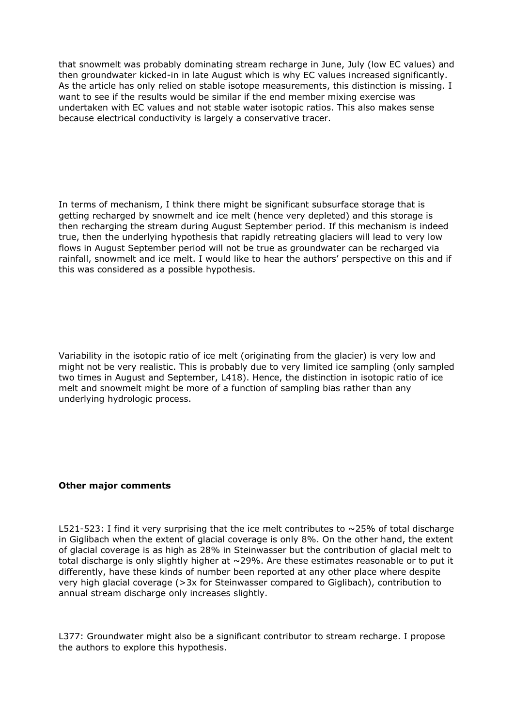that snowmelt was probably dominating stream recharge in June, July (low EC values) and then groundwater kicked-in in late August which is why EC values increased significantly. As the article has only relied on stable isotope measurements, this distinction is missing. I want to see if the results would be similar if the end member mixing exercise was undertaken with EC values and not stable water isotopic ratios. This also makes sense because electrical conductivity is largely a conservative tracer.

In terms of mechanism, I think there might be significant subsurface storage that is getting recharged by snowmelt and ice melt (hence very depleted) and this storage is then recharging the stream during August September period. If this mechanism is indeed true, then the underlying hypothesis that rapidly retreating glaciers will lead to very low flows in August September period will not be true as groundwater can be recharged via rainfall, snowmelt and ice melt. I would like to hear the authors' perspective on this and if this was considered as a possible hypothesis.

Variability in the isotopic ratio of ice melt (originating from the glacier) is very low and might not be very realistic. This is probably due to very limited ice sampling (only sampled two times in August and September, L418). Hence, the distinction in isotopic ratio of ice melt and snowmelt might be more of a function of sampling bias rather than any underlying hydrologic process.

### **Other major comments**

L521-523: I find it very surprising that the ice melt contributes to  $\sim$ 25% of total discharge in Giglibach when the extent of glacial coverage is only 8%. On the other hand, the extent of glacial coverage is as high as 28% in Steinwasser but the contribution of glacial melt to total discharge is only slightly higher at  $\sim$  29%. Are these estimates reasonable or to put it differently, have these kinds of number been reported at any other place where despite very high glacial coverage (>3x for Steinwasser compared to Giglibach), contribution to annual stream discharge only increases slightly.

L377: Groundwater might also be a significant contributor to stream recharge. I propose the authors to explore this hypothesis.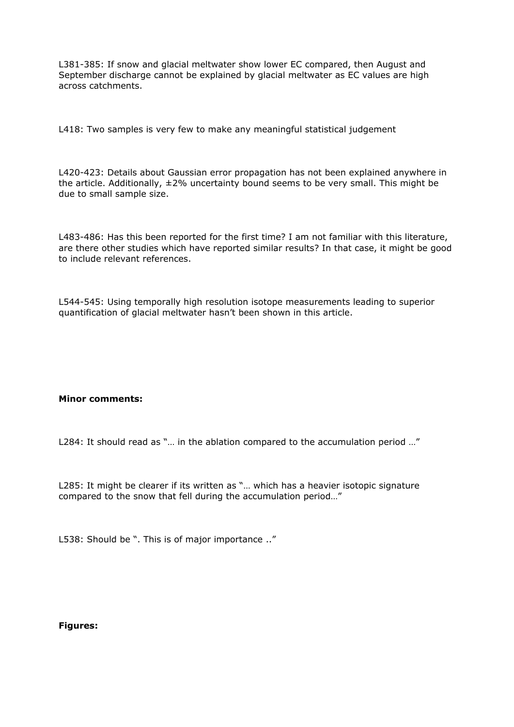L381-385: If snow and glacial meltwater show lower EC compared, then August and September discharge cannot be explained by glacial meltwater as EC values are high across catchments.

L418: Two samples is very few to make any meaningful statistical judgement

L420-423: Details about Gaussian error propagation has not been explained anywhere in the article. Additionally,  $\pm 2\%$  uncertainty bound seems to be very small. This might be due to small sample size.

L483-486: Has this been reported for the first time? I am not familiar with this literature, are there other studies which have reported similar results? In that case, it might be good to include relevant references.

L544-545: Using temporally high resolution isotope measurements leading to superior quantification of glacial meltwater hasn't been shown in this article.

### **Minor comments:**

L284: It should read as "... in the ablation compared to the accumulation period ..."

L285: It might be clearer if its written as "… which has a heavier isotopic signature compared to the snow that fell during the accumulation period…"

L538: Should be ". This is of major importance .."

### **Figures:**